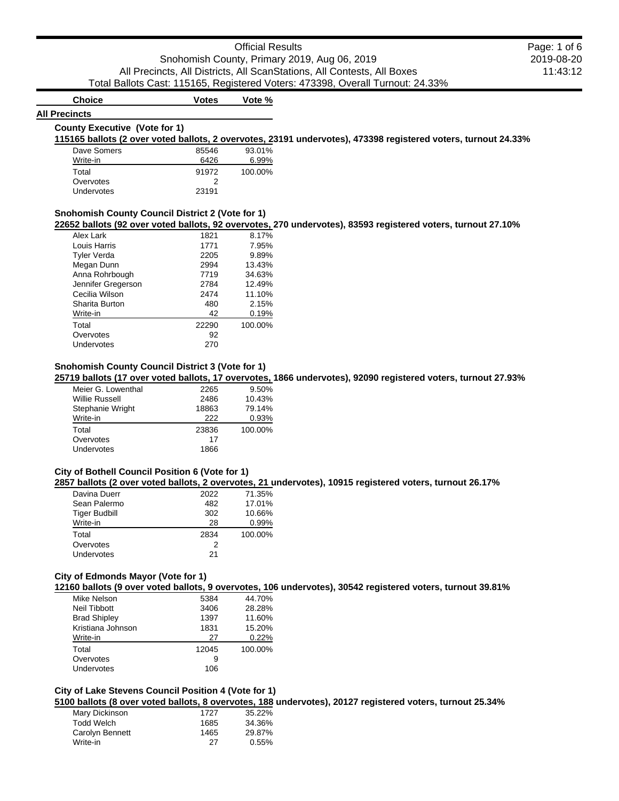|              |                                                                                                                | Snohomish County, Primary 2019, Aug 06, 2019<br>2019-08-20<br>All Precincts, All Districts, All ScanStations, All Contests, All Boxes<br>11:43:12                                                                                                |
|--------------|----------------------------------------------------------------------------------------------------------------|--------------------------------------------------------------------------------------------------------------------------------------------------------------------------------------------------------------------------------------------------|
|              |                                                                                                                |                                                                                                                                                                                                                                                  |
|              |                                                                                                                |                                                                                                                                                                                                                                                  |
|              |                                                                                                                | Total Ballots Cast: 115165, Registered Voters: 473398, Overall Turnout: 24.33%                                                                                                                                                                   |
| <b>Votes</b> | Vote %                                                                                                         |                                                                                                                                                                                                                                                  |
|              |                                                                                                                |                                                                                                                                                                                                                                                  |
|              |                                                                                                                |                                                                                                                                                                                                                                                  |
|              |                                                                                                                | 115165 ballots (2 over voted ballots, 2 overvotes, 23191 undervotes), 473398 registered voters, turnout 24.33%                                                                                                                                   |
|              |                                                                                                                |                                                                                                                                                                                                                                                  |
|              |                                                                                                                |                                                                                                                                                                                                                                                  |
|              |                                                                                                                |                                                                                                                                                                                                                                                  |
| 23191        |                                                                                                                |                                                                                                                                                                                                                                                  |
|              |                                                                                                                |                                                                                                                                                                                                                                                  |
|              |                                                                                                                | 22652 ballots (92 over voted ballots, 92 overvotes, 270 undervotes), 83593 registered voters, turnout 27.10%                                                                                                                                     |
| 1821         | 8.17%                                                                                                          |                                                                                                                                                                                                                                                  |
|              |                                                                                                                |                                                                                                                                                                                                                                                  |
|              |                                                                                                                |                                                                                                                                                                                                                                                  |
|              |                                                                                                                |                                                                                                                                                                                                                                                  |
| 7719         | 34.63%                                                                                                         |                                                                                                                                                                                                                                                  |
|              |                                                                                                                |                                                                                                                                                                                                                                                  |
| 2474         | 11.10%                                                                                                         |                                                                                                                                                                                                                                                  |
| 480          | 2.15%                                                                                                          |                                                                                                                                                                                                                                                  |
| 42           | 0.19%                                                                                                          |                                                                                                                                                                                                                                                  |
| 22290        | 100.00%                                                                                                        |                                                                                                                                                                                                                                                  |
| 92           |                                                                                                                |                                                                                                                                                                                                                                                  |
| 270          |                                                                                                                |                                                                                                                                                                                                                                                  |
|              |                                                                                                                |                                                                                                                                                                                                                                                  |
|              |                                                                                                                | 25719 ballots (17 over voted ballots, 17 overvotes, 1866 undervotes), 92090 registered voters, turnout 27.93%                                                                                                                                    |
| 2265         | 9.50%                                                                                                          |                                                                                                                                                                                                                                                  |
| 2486         | 10.43%                                                                                                         |                                                                                                                                                                                                                                                  |
| 18863        | 79.14%                                                                                                         |                                                                                                                                                                                                                                                  |
| 222          | 0.93%                                                                                                          |                                                                                                                                                                                                                                                  |
| 23836        | 100.00%                                                                                                        |                                                                                                                                                                                                                                                  |
|              |                                                                                                                |                                                                                                                                                                                                                                                  |
| 1866         |                                                                                                                |                                                                                                                                                                                                                                                  |
|              |                                                                                                                |                                                                                                                                                                                                                                                  |
|              |                                                                                                                | 2857 ballots (2 over voted ballots, 2 overvotes, 21 undervotes), 10915 registered voters, turnout 26.17%                                                                                                                                         |
| 2022         | 71.35%                                                                                                         |                                                                                                                                                                                                                                                  |
| 482          | 17.01%                                                                                                         |                                                                                                                                                                                                                                                  |
| 302          | 10.66%                                                                                                         |                                                                                                                                                                                                                                                  |
| 28           | 0.99%                                                                                                          |                                                                                                                                                                                                                                                  |
| 2834         | 100.00%                                                                                                        |                                                                                                                                                                                                                                                  |
|              |                                                                                                                |                                                                                                                                                                                                                                                  |
| 21           |                                                                                                                |                                                                                                                                                                                                                                                  |
|              |                                                                                                                |                                                                                                                                                                                                                                                  |
|              | <b>County Executive (Vote for 1)</b><br>85546<br>6426<br>91972<br>2<br>1771<br>2205<br>2994<br>2784<br>17<br>2 | 93.01%<br>6.99%<br>100.00%<br><b>Snohomish County Council District 2 (Vote for 1)</b><br>7.95%<br>9.89%<br>13.43%<br>12.49%<br><b>Snohomish County Council District 3 (Vote for 1)</b><br><b>City of Bothell Council Position 6 (Vote for 1)</b> |

| Mike Nelson         | 5384  | 44.70%  |
|---------------------|-------|---------|
| Neil Tibbott        | 3406  | 28.28%  |
| <b>Brad Shipley</b> | 1397  | 11.60%  |
| Kristiana Johnson   | 1831  | 15.20%  |
| Write-in            | 27    | 0.22%   |
| Total               | 12045 | 100.00% |
| Overvotes           | 9     |         |
| Undervotes          | 106   |         |
|                     |       |         |

# **City of Lake Stevens Council Position 4 (Vote for 1)**

**5100 ballots (8 over voted ballots, 8 overvotes, 188 undervotes), 20127 registered voters, turnout 25.34%**

| Mary Dickinson  | 1727 | 35.22% |
|-----------------|------|--------|
| Todd Welch      | 1685 | 34.36% |
| Carolyn Bennett | 1465 | 29.87% |
| Write-in        | 27   | 0.55%  |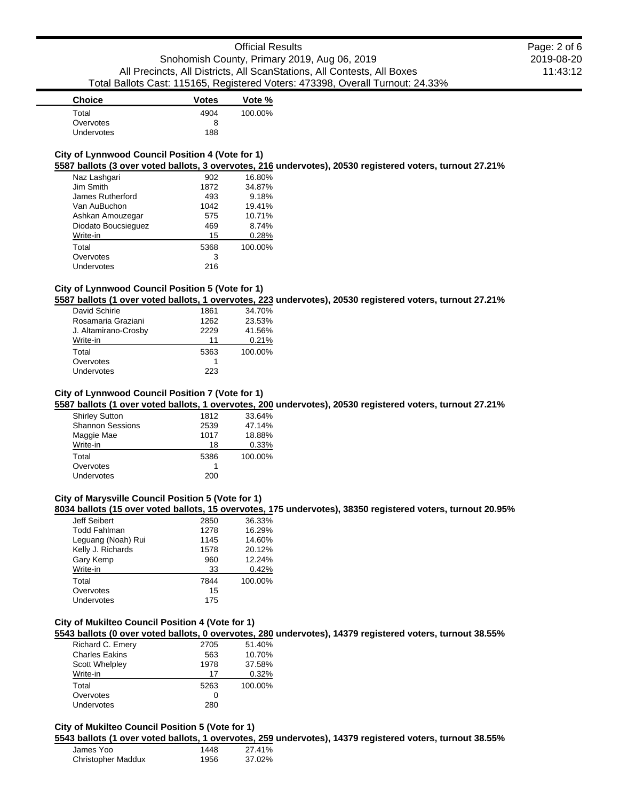2019-08-20 11:43:12

Page: 2 of 6

| <b>Choice</b> | <b>Votes</b> | Vote %  |
|---------------|--------------|---------|
| Total         | 4904         | 100.00% |
| Overvotes     | 8            |         |
| Undervotes    | 188          |         |

### **City of Lynnwood Council Position 4 (Vote for 1)**

**5587 ballots (3 over voted ballots, 3 overvotes, 216 undervotes), 20530 registered voters, turnout 27.21%**

| Naz Lashqari        | 902  | 16.80%  |
|---------------------|------|---------|
| Jim Smith           | 1872 | 34.87%  |
| James Rutherford    | 493  | 9.18%   |
| Van AuBuchon        | 1042 | 19.41%  |
| Ashkan Amouzegar    | 575  | 10.71%  |
| Diodato Boucsieguez | 469  | 8.74%   |
| Write-in            | 15   | 0.28%   |
| Total               | 5368 | 100.00% |
| Overvotes           | 3    |         |
| Undervotes          | 216  |         |

# **City of Lynnwood Council Position 5 (Vote for 1)**

**5587 ballots (1 over voted ballots, 1 overvotes, 223 undervotes), 20530 registered voters, turnout 27.21%**

| David Schirle        | 1861 | 34.70%  |
|----------------------|------|---------|
| Rosamaria Graziani   | 1262 | 23.53%  |
| J. Altamirano-Crosby | 2229 | 41.56%  |
| Write-in             | 11   | 0.21%   |
| Total                | 5363 | 100.00% |
| Overvotes            |      |         |
| <b>Undervotes</b>    | 223  |         |

## **City of Lynnwood Council Position 7 (Vote for 1)**

**5587 ballots (1 over voted ballots, 1 overvotes, 200 undervotes), 20530 registered voters, turnout 27.21%**

| <b>Shirley Sutton</b>   | 1812 | 33.64%  |
|-------------------------|------|---------|
| <b>Shannon Sessions</b> | 2539 | 47.14%  |
| Maggie Mae              | 1017 | 18.88%  |
| Write-in                | 18   | 0.33%   |
| Total                   | 5386 | 100.00% |
| Overvotes               |      |         |
| <b>Undervotes</b>       | 200  |         |

# **City of Marysville Council Position 5 (Vote for 1)**

**8034 ballots (15 over voted ballots, 15 overvotes, 175 undervotes), 38350 registered voters, turnout 20.95%**

| Jeff Seibert        | 2850 | 36.33%  |
|---------------------|------|---------|
| <b>Todd Fahlman</b> | 1278 | 16.29%  |
| Leguang (Noah) Rui  | 1145 | 14.60%  |
| Kelly J. Richards   | 1578 | 20.12%  |
| Gary Kemp           | 960  | 12.24%  |
| Write-in            | 33   | 0.42%   |
| Total               | 7844 | 100.00% |
| Overvotes           | 15   |         |
| Undervotes          | 175  |         |

# **City of Mukilteo Council Position 4 (Vote for 1)**

**5543 ballots (0 over voted ballots, 0 overvotes, 280 undervotes), 14379 registered voters, turnout 38.55%**

| 2705 | 51.40%  |
|------|---------|
| 563  | 10.70%  |
| 1978 | 37.58%  |
| 17   | 0.32%   |
| 5263 | 100.00% |
| 0    |         |
| 280  |         |
|      |         |

# **City of Mukilteo Council Position 5 (Vote for 1)**

**5543 ballots (1 over voted ballots, 1 overvotes, 259 undervotes), 14379 registered voters, turnout 38.55%**

| James Yoo                 | 1448 | 27.41% |
|---------------------------|------|--------|
| <b>Christopher Maddux</b> | 1956 | 37.02% |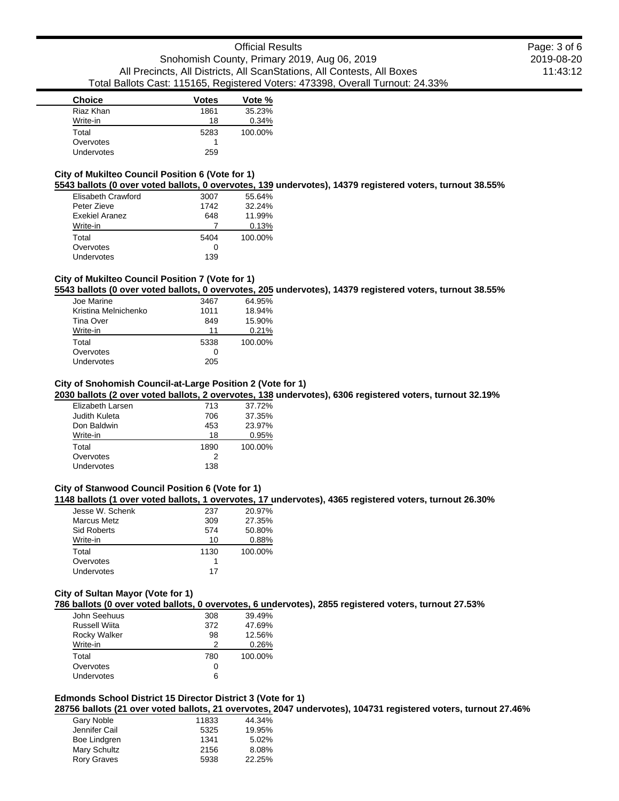| <b>Choice</b> | <b>Votes</b> | Vote %  |
|---------------|--------------|---------|
| Riaz Khan     | 1861         | 35.23%  |
| Write-in      | 18           | 0.34%   |
| Total         | 5283         | 100.00% |
| Overvotes     |              |         |
| Undervotes    | 259          |         |

### **City of Mukilteo Council Position 6 (Vote for 1)**

**5543 ballots (0 over voted ballots, 0 overvotes, 139 undervotes), 14379 registered voters, turnout 38.55%**

| Elisabeth Crawford | 3007 | 55.64%  |
|--------------------|------|---------|
| Peter Zieve        | 1742 | 32.24%  |
| Exekiel Aranez     | 648  | 11.99%  |
| Write-in           |      | 0.13%   |
| Total              | 5404 | 100.00% |
| Overvotes          |      |         |
| Undervotes         | 139  |         |

# **City of Mukilteo Council Position 7 (Vote for 1)**

**5543 ballots (0 over voted ballots, 0 overvotes, 205 undervotes), 14379 registered voters, turnout 38.55%**

| Joe Marine           | 3467 | 64.95%  |
|----------------------|------|---------|
| Kristina Melnichenko | 1011 | 18.94%  |
| Tina Over            | 849  | 15.90%  |
| Write-in             | 11   | 0.21%   |
| Total                | 5338 | 100.00% |
| Overvotes            | 0    |         |
| Undervotes           | 205  |         |

#### **City of Snohomish Council-at-Large Position 2 (Vote for 1)**

**2030 ballots (2 over voted ballots, 2 overvotes, 138 undervotes), 6306 registered voters, turnout 32.19%**

| Elizabeth Larsen | 713  | 37.72%  |
|------------------|------|---------|
| Judith Kuleta    | 706  | 37.35%  |
| Don Baldwin      | 453  | 23.97%  |
| Write-in         | 18   | 0.95%   |
| Total            | 1890 | 100.00% |
| Overvotes        | 2    |         |
| Undervotes       | 138  |         |
|                  |      |         |

## **City of Stanwood Council Position 6 (Vote for 1)**

**1148 ballots (1 over voted ballots, 1 overvotes, 17 undervotes), 4365 registered voters, turnout 26.30%**

| Jesse W. Schenk    | 237  | 20.97%  |
|--------------------|------|---------|
| <b>Marcus Metz</b> | 309  | 27.35%  |
| Sid Roberts        | 574  | 50.80%  |
| Write-in           | 10   | 0.88%   |
| Total              | 1130 | 100.00% |
| Overvotes          |      |         |
| Undervotes         | 17   |         |
|                    |      |         |

#### **City of Sultan Mayor (Vote for 1)**

**786 ballots (0 over voted ballots, 0 overvotes, 6 undervotes), 2855 registered voters, turnout 27.53%**

| John Seehuus        | 308 | 39.49%  |
|---------------------|-----|---------|
| Russell Wiita       | 372 | 47.69%  |
| <b>Rocky Walker</b> | 98  | 12.56%  |
| Write-in            | 2   | 0.26%   |
| Total               | 780 | 100.00% |
| Overvotes           | 0   |         |
| Undervotes          | 6   |         |

#### **Edmonds School District 15 Director District 3 (Vote for 1) 28756 ballots (21 over voted ballots, 21 overvotes, 2047 undervotes), 104731 registered voters, turnout 27.46%**

| Gary Noble         | 11833 | 44.34% |
|--------------------|-------|--------|
| Jennifer Cail      | 5325  | 19.95% |
| Boe Lindgren       | 1341  | 5.02%  |
| Mary Schultz       | 2156  | 8.08%  |
| <b>Rory Graves</b> | 5938  | 22.25% |
|                    |       |        |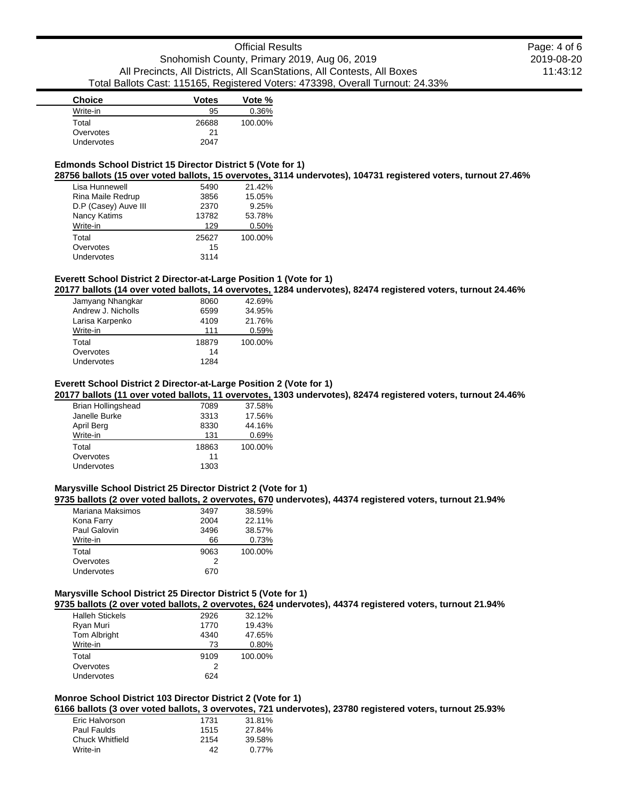| <b>Choice</b> | <b>Votes</b> | Vote %  |
|---------------|--------------|---------|
| Write-in      | 95           | 0.36%   |
| Total         | 26688        | 100.00% |
| Overvotes     | 21           |         |
| Undervotes    | 2047         |         |

# **Edmonds School District 15 Director District 5 (Vote for 1)**

**28756 ballots (15 over voted ballots, 15 overvotes, 3114 undervotes), 104731 registered voters, turnout 27.46%**

| Lisa Hunnewell       | 5490  | 21.42%  |
|----------------------|-------|---------|
| Rina Maile Redrup    | 3856  | 15.05%  |
| D.P (Casey) Auve III | 2370  | 9.25%   |
| Nancy Katims         | 13782 | 53.78%  |
| Write-in             | 129   | 0.50%   |
| Total                | 25627 | 100.00% |
| Overvotes            | 15    |         |
| <b>Undervotes</b>    | 3114  |         |

# **Everett School District 2 Director-at-Large Position 1 (Vote for 1)**

**20177 ballots (14 over voted ballots, 14 overvotes, 1284 undervotes), 82474 registered voters, turnout 24.46%**

| Jamyang Nhangkar   | 8060  | 42.69%  |
|--------------------|-------|---------|
| Andrew J. Nicholls | 6599  | 34.95%  |
| Larisa Karpenko    | 4109  | 21.76%  |
| Write-in           | 111   | 0.59%   |
| Total              | 18879 | 100.00% |
| Overvotes          | 14    |         |
| Undervotes         | 1284  |         |

#### **Everett School District 2 Director-at-Large Position 2 (Vote for 1)**

**20177 ballots (11 over voted ballots, 11 overvotes, 1303 undervotes), 82474 registered voters, turnout 24.46%**

| <b>Brian Hollingshead</b> | 7089  | 37.58%  |
|---------------------------|-------|---------|
| Janelle Burke             | 3313  | 17.56%  |
| April Berg                | 8330  | 44.16%  |
| Write-in                  | 131   | 0.69%   |
| Total                     | 18863 | 100.00% |
| Overvotes                 | 11    |         |
| Undervotes                | 1303  |         |
|                           |       |         |

#### **Marysville School District 25 Director District 2 (Vote for 1)**

**9735 ballots (2 over voted ballots, 2 overvotes, 670 undervotes), 44374 registered voters, turnout 21.94%**

| Mariana Maksimos | 3497 | 38.59%  |
|------------------|------|---------|
| Kona Farry       | 2004 | 22.11%  |
| Paul Galovin     | 3496 | 38.57%  |
| Write-in         | 66   | 0.73%   |
| Total            | 9063 | 100.00% |
| Overvotes        | 2    |         |
| Undervotes       | 670  |         |

#### **Marysville School District 25 Director District 5 (Vote for 1)**

**9735 ballots (2 over voted ballots, 2 overvotes, 624 undervotes), 44374 registered voters, turnout 21.94%**

| <b>Halleh Stickels</b> | 2926 | 32.12%  |
|------------------------|------|---------|
| Ryan Muri              | 1770 | 19.43%  |
| <b>Tom Albright</b>    | 4340 | 47.65%  |
| Write-in               | 73   | 0.80%   |
| Total                  | 9109 | 100.00% |
| Overvotes              | 2    |         |
| Undervotes             | 624  |         |

#### **Monroe School District 103 Director District 2 (Vote for 1) 6166 ballots (3 over voted ballots, 3 overvotes, 721 undervotes), 23780 registered voters, turnout 25.93%**

| Eric Halvorson  | 1731 | 31.81%   |
|-----------------|------|----------|
| Paul Faulds     | 1515 | 27.84%   |
| Chuck Whitfield | 2154 | 39.58%   |
| Write-in        | 42   | $0.77\%$ |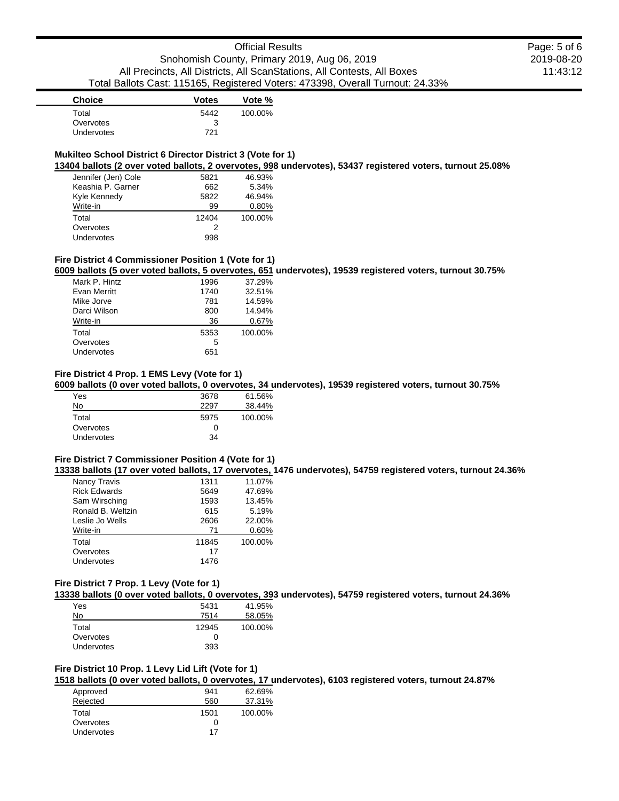| <b>Choice</b> | <b>Votes</b> | Vote %  |
|---------------|--------------|---------|
| Total         | 5442         | 100.00% |
| Overvotes     | 3            |         |
| Undervotes    | 721          |         |

### **Mukilteo School District 6 Director District 3 (Vote for 1)**

**13404 ballots (2 over voted ballots, 2 overvotes, 998 undervotes), 53437 registered voters, turnout 25.08%**

| Jennifer (Jen) Cole | 5821  | 46.93%  |
|---------------------|-------|---------|
| Keashia P. Garner   | 662   | 5.34%   |
| Kyle Kennedy        | 5822  | 46.94%  |
| Write-in            | 99    | 0.80%   |
| Total               | 12404 | 100.00% |
| Overvotes           | 2     |         |
| Undervotes          | 998   |         |

#### **Fire District 4 Commissioner Position 1 (Vote for 1)**

**6009 ballots (5 over voted ballots, 5 overvotes, 651 undervotes), 19539 registered voters, turnout 30.75%**

| Mark P. Hintz | 1996 | 37.29%  |
|---------------|------|---------|
| Evan Merritt  | 1740 | 32.51%  |
| Mike Jorve    | 781  | 14.59%  |
| Darci Wilson  | 800  | 14.94%  |
| Write-in      | 36   | 0.67%   |
| Total         | 5353 | 100.00% |
| Overvotes     | 5    |         |
| Undervotes    | 651  |         |

## **Fire District 4 Prop. 1 EMS Levy (Vote for 1)**

**6009 ballots (0 over voted ballots, 0 overvotes, 34 undervotes), 19539 registered voters, turnout 30.75%**

| Yes               | 3678 | 61.56%  |
|-------------------|------|---------|
| No                | 2297 | 38.44%  |
| Total             | 5975 | 100.00% |
| Overvotes         | 0    |         |
| <b>Undervotes</b> | 34   |         |

# **Fire District 7 Commissioner Position 4 (Vote for 1)**

**13338 ballots (17 over voted ballots, 17 overvotes, 1476 undervotes), 54759 registered voters, turnout 24.36%**

| Nancy Travis        | 1311  | 11.07%  |
|---------------------|-------|---------|
| <b>Rick Edwards</b> | 5649  | 47.69%  |
| Sam Wirsching       | 1593  | 13.45%  |
| Ronald B. Weltzin   | 615   | 5.19%   |
| Leslie Jo Wells     | 2606  | 22.00%  |
| Write-in            | 71    | 0.60%   |
| Total               | 11845 | 100.00% |
| Overvotes           | 17    |         |
| Undervotes          | 1476  |         |

### **Fire District 7 Prop. 1 Levy (Vote for 1)**

**13338 ballots (0 over voted ballots, 0 overvotes, 393 undervotes), 54759 registered voters, turnout 24.36%**

| Yes        | 5431  | 41.95%  |
|------------|-------|---------|
| No         | 7514  | 58.05%  |
| Total      | 12945 | 100.00% |
| Overvotes  | 0     |         |
| Undervotes | 393   |         |

# **Fire District 10 Prop. 1 Levy Lid Lift (Vote for 1)**

**1518 ballots (0 over voted ballots, 0 overvotes, 17 undervotes), 6103 registered voters, turnout 24.87%**

| 941  | 62.69%  |
|------|---------|
| 560  | 37.31%  |
| 1501 | 100.00% |
| O    |         |
| 17   |         |
|      |         |